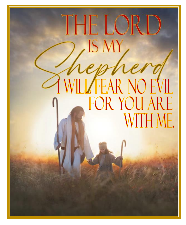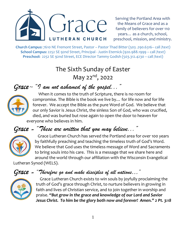

Serving the Portland Area with the Means of Grace and as a family of believers for over 110 years… as a church, school, preschool, mission, and ministry.

**Church Campus:** 7610 NE Fremont Street, Pastor – Pastor Thad Bitter (503 .290.6316– call /text) **School Campus:** 2252 SE 92nd Street, Principal - Justin Eternick (920.988.1999 – call /text) **Preschool:** 2252 SE 92nd Street, ECE Director Tammy Godish (503.312.4230 – call /text)

# The Sixth Sunday of Easter May 22<sup>nd</sup>, 2022

# *Grace* ~ *"I am not ashamed of the gospel..."*



 When it comes to the truth of Scripture, there is no room for compromise. The Bible is the book we live by… for life now and for life forever. We accept the Bible as the pure Word of God. We believe that our only Savior is Jesus Christ, the sinless Son of God, who was crucified, died, and was buried but rose again to open the door to heaven for everyone who believes in him.

## *Grace* ~ *"These are written that you may believe..."*



 Grace Lutheran Church has served the Portland area for over 100 years by faithfully preaching and teaching the timeless truth of God's Word. We believe that God uses the timeless message of Word and Sacraments to bring souls into his care. This is a message that we share here and around the world through our affiliation with the Wisconsin Evangelical

Lutheran Synod (WELS).

## *Grace* ~ *"Therefore go and make disciples of all nations…"*



 Grace Lutheran Church exists to win souls by joyfully proclaiming the truth of God's grace through Christ, to nurture believers in growing in faith and lives of Christian service, and to join together in worship and praise. *"But grow in the grace and knowledge of our Lord and Savior Jesus Christ. To him be the glory both now and forever! Amen." 2 Pt. 3:18*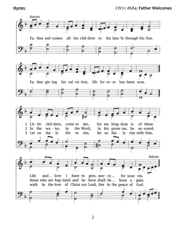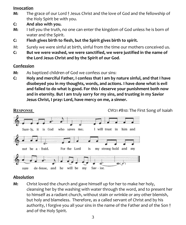#### **Invocation**

- **M:** The grace of our Lord † Jesus Christ and the love of God and the fellowship of the Holy Spirit be with you.
- **C: And also with you.**
- **M:** I tell you the truth, no one can enter the kingdom of God unless he is born of water and the Spirit.
- **C: Flesh gives birth to flesh, but the Spirit gives birth to spirit.**
- M: Surely we were sinful at birth, sinful from the time our mothers conceived us.
- **C: But we were washed, we were sanctified, we were justified in the name of the Lord Jesus Christ and by the Spirit of our God**.

#### **Confession**

- **M:** As baptized children of God we confess our sins:
- **C: Holy and merciful Father, I confess that I am by nature sinful, and that I have disobeyed you in my thoughts, words, and actions. I have done what is evil and failed to do what is good. For this I deserve your punishment both now and in eternity. But I am truly sorry for my sins, and trusting in my Savior Jesus Christ, I pray: Lord, have mercy on me, a sinner.**



### **Absolution**

**M:** Christ loved the church and gave himself up for her to make her holy, cleansing her by the washing with water through the word, and to present her to himself as a radiant church, without stain or wrinkle or any other blemish, but holy and blameless. Therefore, as a called servant of Christ and by his authority, I forgive you all your sins in the name of the Father and of the Son † and of the Holy Spirit.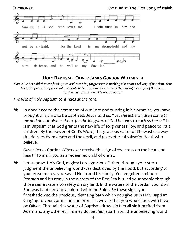

### **HOLY BAPTISM –OLIVER JAMES GORDON WITTMEYER**

*Martin Luther said that confessing sins and receiving forgiveness is nothing else than a reliving of Baptism. Thus this order provides opportunity not only to baptize but also to recall the lasting blessings of Baptism… forgiveness of sins, new life and salvation*

*The Rite of Holy Baptism continues at the font.*

**M:** In obedience to the command of our Lord and trusting in his promise, you have brought this child to be baptized. Jesus told us: *"Let the little children come to me and do not hinder them, for the kingdom of God belongs to such as these."* It is in Baptism that God grants the new life of forgiveness, joy, and peace to little children. By the power of God's Word, this gracious water of life washes away sin, delivers from death and the devil, and gives eternal salvation to all who believe.

*Oliver James Gordon Wittmeyer* receive the sign of the cross on the head and heart † to mark you as a redeemed child of Christ.

**M:** Let us pray: Holy God, mighty Lord, gracious Father, through your stern judgment the unbelieving world was destroyed by the flood, but according to your great mercy, you saved Noah and his family. You engulfed stubborn Pharaoh and his army in the waters of the Red Sea but led your people through those same waters to safety on dry land. In the waters of the Jordan your own Son was baptized and anointed with the Spirit. By these signs you foreshadowed the precious, cleansing bath which you give us in Holy Baptism. Clinging to your command and promise, we ask that you would look with favor on *Oliver.* Through this water of Baptism, drown in *him* all sin inherited from Adam and any other evil *he* may do. Set *him* apart from the unbelieving world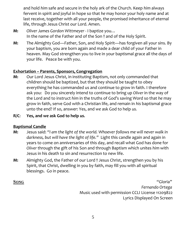and hold *him* safe and secure in the holy ark of the Church. Keep *him* always fervent in spirit and joyful in hope so that *he* may honor your holy name and at last receive, together with all your people, the promised inheritance of eternal life, through Jesus Christ our Lord. Amen.

- **M:** *Oliver James Gordon Wittmeyer -* I baptize you… In the name of the Father and of the Son † and of the Holy Spirit.
- **M:** The Almighty God—Father, Son, and Holy Spirit—has forgiven all your sins. By your baptism, you are born again and made a dear child of your Father in heaven. May God strengthen you to live in your baptismal grace all the days of your life. Peace be with you.

#### **Exhortation – Parents, Sponsors, Congregation**

- **M:** Our Lord Jesus Christ, in instituting Baptism, not only commanded that children should be baptized, but that they should be taught to obey everything he has commanded us and continue to grow in faith. I therefore ask you: Do you sincerely intend to continue to bring up *Oliver* in the way of the Lord and to instruct *him* in the truths of God's saving Word so that *he* may grow in faith, serve God with a Christian life, and remain in *his* baptismal grace unto the end? If so, answer: Yes, and *we* ask God to help *us.*
- **R/C**: **Yes, and** *we* **ask God to help** *us.*

### **Baptismal Candle**

- **M:** Jesus said: *"I am the light of the world. Whoever follows me will never walk in darkness, but will have the light of life."* Light this candle again and again in years to come on anniversaries of this day, and recall what God has done for *Oliver* through the gift of his Son and through Baptism which unites *him* with Jesus in his death to sin and resurrection to new life.
- **M:** Almighty God, the Father of our Lord † Jesus Christ, strengthen you by his Spirit, that Christ, dwelling in you by faith, may fill you with all spiritual blessings. Go in peace.

**SONG** "Gloria" *Fernando Ortega* Music used with permission CCLI License 11209822 Lyrics Displayed On Screen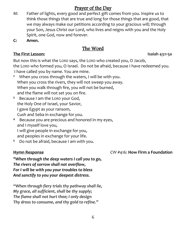## Prayer of the Day

- M: Father of lights, every good and perfect gift comes from you. Inspire us to think those things that are true and long for those things that are good, that we may always make our petitions according to your gracious will; through your Son, Jesus Christ our Lord, who lives and reigns with you and the Holy Spirit, one God, now and forever.
- **C: Amen.**

## The Word

#### **The First Lesson: Isaiah 43:1-5a**

But now this is what the LORD says, the LORD who created you, O Jacob, the LORD who formed you, O Israel. Do not be afraid, because I have redeemed you. I have called you by name. You are mine.

- **2** When you cross through the waters, I will be with you. When you cross the rivers, they will not sweep you away. When you walk through fire, you will not be burned, and the flame will not set you on fire.
- **3** Because I am the LORD your God, the Holy One of Israel, your Savior, I gave Egypt as your ransom, Cush and Seba in exchange for you.
- **4** Because you are precious and honored in my eyes, and I myself love you, I will give people in exchange for you, and peoples in exchange for your life.
- **5** Do not be afraid, because I am with you.

### **Hymn Response** CW #416: **How Firm a Foundation**

*"When through the deep waters I call you to go, The rivers of sorrow shall not overflow, For I will be with you your troubles to bless And sanctify to you your deepest distress.*

*"When through fiery trials thy pathway shall lie, My grace, all sufficient, shall be thy supply; The flame shall not hurt thee; I only design Thy dross to consume, and thy gold to refine."*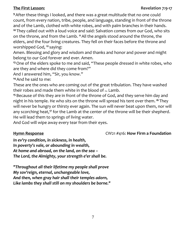### **The First Lesson: Revelation 7:9-17**

**<sup>9</sup>**After these things I looked, and there was a great multitude that no one could count, from every nation, tribe, people, and language, standing in front of the throne and of the Lamb, clothed with white robes, and with palm branches in their hands. **<sup>10</sup>** They called out with a loud voice and said: Salvation comes from our God, who sits on the throne, and from the Lamb. **<sup>11</sup>**All the angels stood around the throne, the elders, and the four living creatures. They fell on their faces before the throne and worshipped God, **<sup>12</sup>** saying:

Amen. Blessing and glory and wisdom and thanks and honor and power and might belong to our God forever and ever. Amen.

**<sup>13</sup>**One of the elders spoke to me and said, "These people dressed in white robes, who are they and where did they come from?"

And I answered him, "Sir, you know."

**<sup>14</sup>**And he said to me:

These are the ones who are coming out of the great tribulation. They have washed their robes and made them white in the blood of the Lamb.

**<sup>15</sup>** Because of this they are in front of the throne of God, and they serve him day and night in his temple. He who sits on the throne will spread his tent over them. **<sup>16</sup>** They will never be hungry or thirsty ever again. The sun will never beat upon them, nor will any scorching heat,**<sup>17</sup>** for the Lamb at the center of the throne will be their shepherd. He will lead them to springs of living water.

And God will wipe away every tear from their eyes.

#### **Hymn Response** CW21 #416: **How Firm a Foundation**

*In ev'ry condition, in sickness, in health, In poverty's vale, or abounding in wealth, At home and abroad, on the land, on the sea – The Lord, the Almighty, your strength e'er shall be.*

*"Throughout all their lifetime my people shall prove My sov'reign, eternal, unchangeable love, And then, when gray hair shall their temples adorn, Like lambs they shall still on my shoulders be borne."*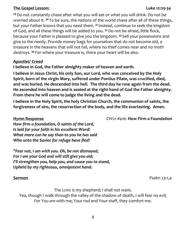#### **The Gospel Lesson: Luke 12:29-34**

**<sup>29</sup>**Do not constantly chase after what you will eat or what you will drink. Do not be worried about it. **<sup>30</sup>** To be sure, the nations of the world chase after all of these things, but your Father knows that you need them. **<sup>31</sup>** Instead, continue to seek the kingdom of God, and all these things will be added to you. **<sup>32</sup>**Do not be afraid, little flock, because your Father is pleased to give you the kingdom. **<sup>33</sup>** Sell your possessions and give to the needy. Provide money bags for yourselves that do not become old, a treasure in the heavens that will not fail, where no thief comes near and no moth destroys. **<sup>34</sup>** For where your treasure is, there your heart will be also.

#### **Apostles' Creed**

#### **I believe in God, the Father almighty maker of heaven and earth.**

**I believe in Jesus Christ, his only Son, our Lord, who was conceived by the Holy Spirit, born of the virgin Mary, suffered under Pontius Pilate, was crucified, died, and was buried. He descended into hell. The third day he rose again from the dead. He ascended into heaven and is seated at the right hand of God the Father almighty. From there he will come to judge the living and the dead.** 

**I believe in the Holy Spirit, the holy Christian Church, the communion of saints, the forgiveness of sins, the resurrection of the body, and the life everlasting. Amen.**

**Hymn Response** CW21 #416: **How Firm a Foundation**

*How firm a foundation, O saints of the Lord, Is laid for your faith in his excellent Word! What more can he say than to you he has said Who unto the Savior for refuge have fled?*

*"Fear not, I am with you. Oh, be not dismayed, For I am your God and will still give you aid; I'll strengthen you, help you, and cause you to stand, Upheld by my righteous, omnipotent hand.*

**Sermon** Psalm 23:1,4

The LORD *is* my shepherd; I shall not want. Yea, though I walk through the valley of the shadow of death, I will fear no evil; For You *are* with me; Your rod and Your staff, they comfort me.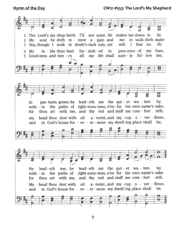**Hymn of the Day CW21 #553: The Lord's My Shepherd**

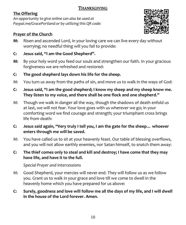### THANKSGIVING

### **The Offering**

*An opportunity to give online can also be used at Paypal.me/GracePortland or by utilizing this QR code:*



## **Prayer of the Church**

- **M:** Risen and ascended Lord, in your loving care we can live every day without worrying; no needful thing will you fail to provide:
- **C: Jesus said, "I am the Good Shepherd".**
- **M:** By your holy word you feed our souls and strengthen our faith. In your gracious forgiveness we are refreshed and restored:
- **C: The good shepherd lays down his life for the sheep.**
- M: You turn us away from the paths of sin, and move us to walk in the ways of God:
- **C: Jesus said, "I am the good shepherd; I know my sheep and my sheep know me. They listen to my voice, and there shall be one flock and one shepherd."**
- M: Though we walk in danger all the way, though the shadows of death enfold us at last, we will not fear. Your love goes with us wherever we go; in your comforting word we find courage and strength; your triumphant cross brings life from death:
- **C: Jesus said again, "Very truly I tell you, I am the gate for the sheep… whoever enters through me will be saved.**
- M: You have called us to sit at your heavenly feast. Our table of blessing overflows, and you will not allow earthly enemies, nor Satan himself, to snatch them away:

### **C: The thief comes only to steal and kill and destroy; I have come that they may have life, and have it to the full.**

*Special Prayer and Intercessions*

- M: Good Shepherd, your mercies will never end. They will follow us as we follow you. Grant us to walk in your grace and love till we come to dwell in the heavenly home which you have prepared for us above:
- **C: Surely, goodness and love will follow me all the days of my life, and I will dwell in the house of the Lord forever. Amen.**